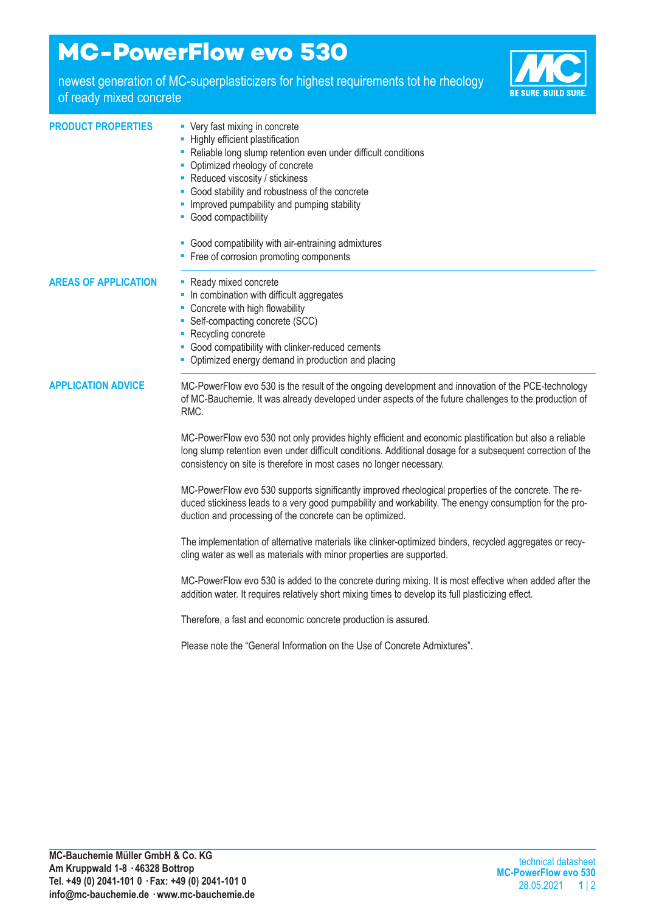# **MC-PowerFlow evo 530**

newest generation of MC-superplasticizers for highest requirements tot he rheology of ready mixed concrete



### **PRODUCT PROPERTIES ·** Very fast mixing in concrete

- **-** Highly efficient plastification
- Reliable long slump retention even under difficult conditions
- Optimized rheology of concrete
- Reduced viscosity / stickiness
- Good stability and robustness of the concrete
- **-** Improved pumpability and pumping stability
- Good compactibility
- Good compatibility with air-entraining admixtures
- Free of corrosion promoting components

#### **AREAS OF APPLICATION** ■ Ready mixed concrete

- 
- In combination with difficult aggregates
- Concrete with high flowability
- Self-compacting concrete (SCC)
- Recycling concrete
- Good compatibility with clinker-reduced cements
- Optimized energy demand in production and placing

**APPLICATION ADVICE** MC-PowerFlow evo 530 is the result of the ongoing development and innovation of the PCE-technology of MC-Bauchemie. It was already developed under aspects of the future challenges to the production of RMC.

> MC-PowerFlow evo 530 not only provides highly efficient and economic plastification but also a reliable long slump retention even under difficult conditions. Additional dosage for a subsequent correction of the consistency on site is therefore in most cases no longer necessary.

> MC-PowerFlow evo 530 supports significantly improved rheological properties of the concrete. The reduced stickiness leads to a very good pumpability and workability. The enengy consumption for the production and processing of the concrete can be optimized.

> The implementation of alternative materials like clinker-optimized binders, recycled aggregates or recycling water as well as materials with minor properties are supported.

MC-PowerFlow evo 530 is added to the concrete during mixing. It is most effective when added after the addition water. It requires relatively short mixing times to develop its full plasticizing effect.

Therefore, a fast and economic concrete production is assured.

Please note the "General Information on the Use of Concrete Admixtures".